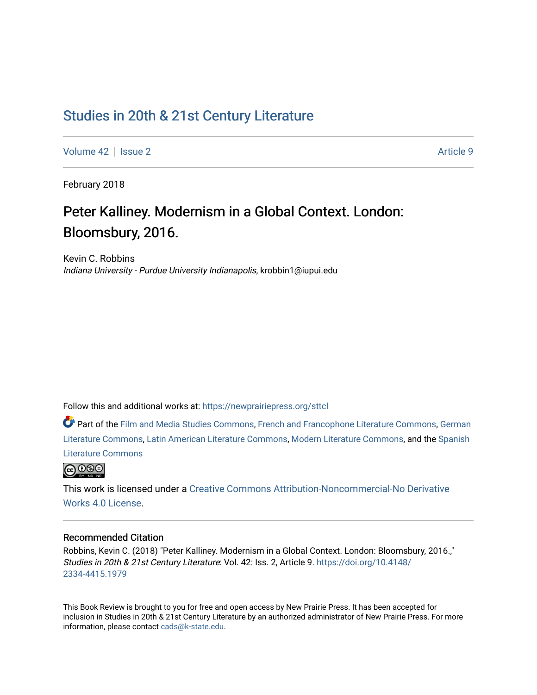## [Studies in 20th & 21st Century Literature](https://newprairiepress.org/sttcl)

[Volume 42](https://newprairiepress.org/sttcl/vol42) | [Issue 2](https://newprairiepress.org/sttcl/vol42/iss2) Article 9

February 2018

# Peter Kalliney. Modernism in a Global Context. London: Bloomsbury, 2016.

Kevin C. Robbins Indiana University - Purdue University Indianapolis, krobbin1@iupui.edu

Follow this and additional works at: [https://newprairiepress.org/sttcl](https://newprairiepress.org/sttcl?utm_source=newprairiepress.org%2Fsttcl%2Fvol42%2Fiss2%2F9&utm_medium=PDF&utm_campaign=PDFCoverPages) 

Part of the [Film and Media Studies Commons,](http://network.bepress.com/hgg/discipline/563?utm_source=newprairiepress.org%2Fsttcl%2Fvol42%2Fiss2%2F9&utm_medium=PDF&utm_campaign=PDFCoverPages) [French and Francophone Literature Commons,](http://network.bepress.com/hgg/discipline/465?utm_source=newprairiepress.org%2Fsttcl%2Fvol42%2Fiss2%2F9&utm_medium=PDF&utm_campaign=PDFCoverPages) [German](http://network.bepress.com/hgg/discipline/469?utm_source=newprairiepress.org%2Fsttcl%2Fvol42%2Fiss2%2F9&utm_medium=PDF&utm_campaign=PDFCoverPages) [Literature Commons,](http://network.bepress.com/hgg/discipline/469?utm_source=newprairiepress.org%2Fsttcl%2Fvol42%2Fiss2%2F9&utm_medium=PDF&utm_campaign=PDFCoverPages) [Latin American Literature Commons,](http://network.bepress.com/hgg/discipline/547?utm_source=newprairiepress.org%2Fsttcl%2Fvol42%2Fiss2%2F9&utm_medium=PDF&utm_campaign=PDFCoverPages) [Modern Literature Commons](http://network.bepress.com/hgg/discipline/1050?utm_source=newprairiepress.org%2Fsttcl%2Fvol42%2Fiss2%2F9&utm_medium=PDF&utm_campaign=PDFCoverPages), and the [Spanish](http://network.bepress.com/hgg/discipline/550?utm_source=newprairiepress.org%2Fsttcl%2Fvol42%2Fiss2%2F9&utm_medium=PDF&utm_campaign=PDFCoverPages)  [Literature Commons](http://network.bepress.com/hgg/discipline/550?utm_source=newprairiepress.org%2Fsttcl%2Fvol42%2Fiss2%2F9&utm_medium=PDF&utm_campaign=PDFCoverPages) 



This work is licensed under a [Creative Commons Attribution-Noncommercial-No Derivative](https://creativecommons.org/licenses/by-nc-nd/4.0/)  [Works 4.0 License](https://creativecommons.org/licenses/by-nc-nd/4.0/).

#### Recommended Citation

Robbins, Kevin C. (2018) "Peter Kalliney. Modernism in a Global Context. London: Bloomsbury, 2016.," Studies in 20th & 21st Century Literature: Vol. 42: Iss. 2, Article 9. [https://doi.org/10.4148/](https://doi.org/10.4148/2334-4415.1979) [2334-4415.1979](https://doi.org/10.4148/2334-4415.1979) 

This Book Review is brought to you for free and open access by New Prairie Press. It has been accepted for inclusion in Studies in 20th & 21st Century Literature by an authorized administrator of New Prairie Press. For more information, please contact [cads@k-state.edu](mailto:cads@k-state.edu).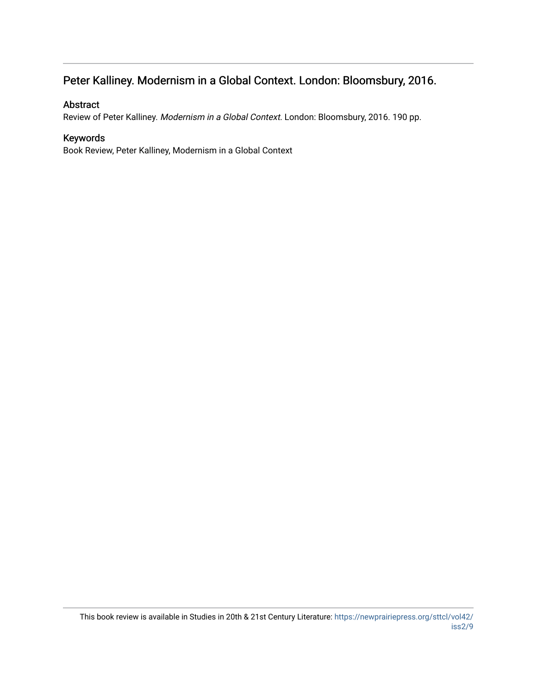### Peter Kalliney. Modernism in a Global Context. London: Bloomsbury, 2016.

### Abstract

Review of Peter Kalliney. Modernism in a Global Context. London: Bloomsbury, 2016. 190 pp.

### Keywords

Book Review, Peter Kalliney, Modernism in a Global Context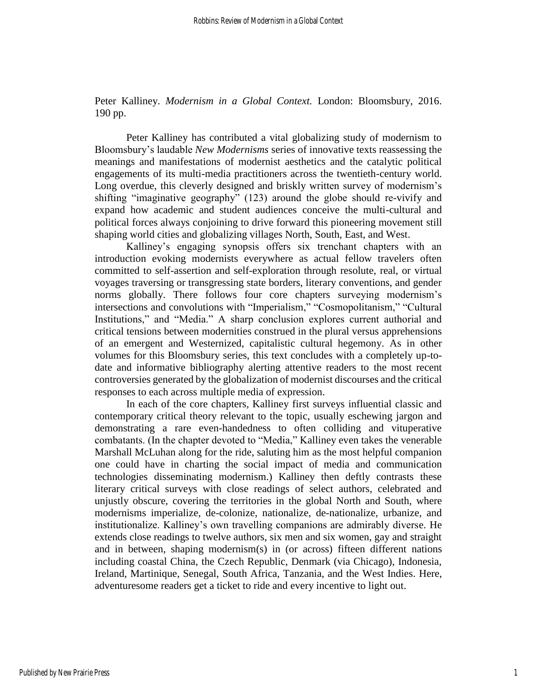Peter Kalliney. *Modernism in a Global Context.* London: Bloomsbury, 2016. 190 pp.

Peter Kalliney has contributed a vital globalizing study of modernism to Bloomsbury's laudable *New Modernisms* series of innovative texts reassessing the meanings and manifestations of modernist aesthetics and the catalytic political engagements of its multi-media practitioners across the twentieth-century world. Long overdue, this cleverly designed and briskly written survey of modernism's shifting "imaginative geography" (123) around the globe should re-vivify and expand how academic and student audiences conceive the multi-cultural and political forces always conjoining to drive forward this pioneering movement still shaping world cities and globalizing villages North, South, East, and West.

Kalliney's engaging synopsis offers six trenchant chapters with an introduction evoking modernists everywhere as actual fellow travelers often committed to self-assertion and self-exploration through resolute, real, or virtual voyages traversing or transgressing state borders, literary conventions, and gender norms globally. There follows four core chapters surveying modernism's intersections and convolutions with "Imperialism," "Cosmopolitanism," "Cultural Institutions," and "Media." A sharp conclusion explores current authorial and critical tensions between modernities construed in the plural versus apprehensions of an emergent and Westernized, capitalistic cultural hegemony. As in other volumes for this Bloomsbury series, this text concludes with a completely up-todate and informative bibliography alerting attentive readers to the most recent controversies generated by the globalization of modernist discourses and the critical responses to each across multiple media of expression.

In each of the core chapters, Kalliney first surveys influential classic and contemporary critical theory relevant to the topic, usually eschewing jargon and demonstrating a rare even-handedness to often colliding and vituperative combatants. (In the chapter devoted to "Media," Kalliney even takes the venerable Marshall McLuhan along for the ride, saluting him as the most helpful companion one could have in charting the social impact of media and communication technologies disseminating modernism.) Kalliney then deftly contrasts these literary critical surveys with close readings of select authors, celebrated and unjustly obscure, covering the territories in the global North and South, where modernisms imperialize, de-colonize, nationalize, de-nationalize, urbanize, and institutionalize. Kalliney's own travelling companions are admirably diverse. He extends close readings to twelve authors, six men and six women, gay and straight and in between, shaping modernism(s) in (or across) fifteen different nations including coastal China, the Czech Republic, Denmark (via Chicago), Indonesia, Ireland, Martinique, Senegal, South Africa, Tanzania, and the West Indies. Here, adventuresome readers get a ticket to ride and every incentive to light out.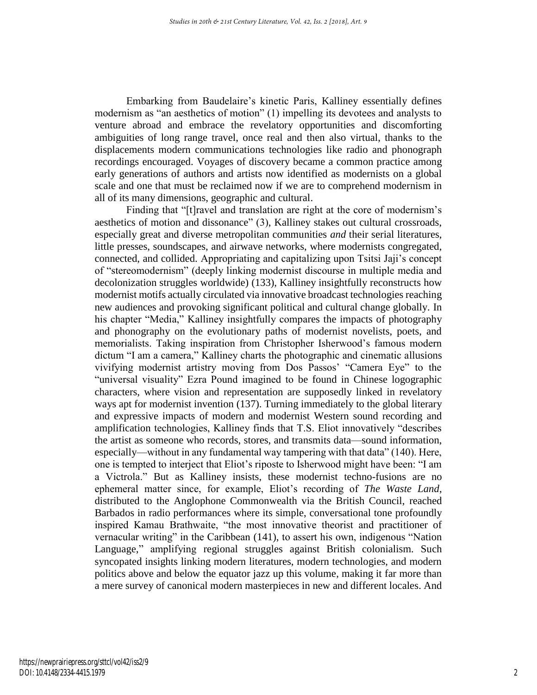Embarking from Baudelaire's kinetic Paris, Kalliney essentially defines modernism as "an aesthetics of motion" (1) impelling its devotees and analysts to venture abroad and embrace the revelatory opportunities and discomforting ambiguities of long range travel, once real and then also virtual, thanks to the displacements modern communications technologies like radio and phonograph recordings encouraged. Voyages of discovery became a common practice among early generations of authors and artists now identified as modernists on a global scale and one that must be reclaimed now if we are to comprehend modernism in all of its many dimensions, geographic and cultural.

Finding that "[t]ravel and translation are right at the core of modernism's aesthetics of motion and dissonance" (3), Kalliney stakes out cultural crossroads, especially great and diverse metropolitan communities *and* their serial literatures, little presses, soundscapes, and airwave networks, where modernists congregated, connected, and collided. Appropriating and capitalizing upon Tsitsi Jaji's concept of "stereomodernism" (deeply linking modernist discourse in multiple media and decolonization struggles worldwide) (133), Kalliney insightfully reconstructs how modernist motifs actually circulated via innovative broadcast technologies reaching new audiences and provoking significant political and cultural change globally. In his chapter "Media," Kalliney insightfully compares the impacts of photography and phonography on the evolutionary paths of modernist novelists, poets, and memorialists. Taking inspiration from Christopher Isherwood's famous modern dictum "I am a camera," Kalliney charts the photographic and cinematic allusions vivifying modernist artistry moving from Dos Passos' "Camera Eye" to the "universal visuality" Ezra Pound imagined to be found in Chinese logographic characters, where vision and representation are supposedly linked in revelatory ways apt for modernist invention (137). Turning immediately to the global literary and expressive impacts of modern and modernist Western sound recording and amplification technologies, Kalliney finds that T.S. Eliot innovatively "describes the artist as someone who records, stores, and transmits data—sound information, especially—without in any fundamental way tampering with that data" (140). Here, one is tempted to interject that Eliot's riposte to Isherwood might have been: "I am a Victrola." But as Kalliney insists, these modernist techno-fusions are no ephemeral matter since, for example, Eliot's recording of *The Waste Land*, distributed to the Anglophone Commonwealth via the British Council, reached Barbados in radio performances where its simple, conversational tone profoundly inspired Kamau Brathwaite, "the most innovative theorist and practitioner of vernacular writing" in the Caribbean (141), to assert his own, indigenous "Nation Language," amplifying regional struggles against British colonialism. Such syncopated insights linking modern literatures, modern technologies, and modern politics above and below the equator jazz up this volume, making it far more than a mere survey of canonical modern masterpieces in new and different locales. And